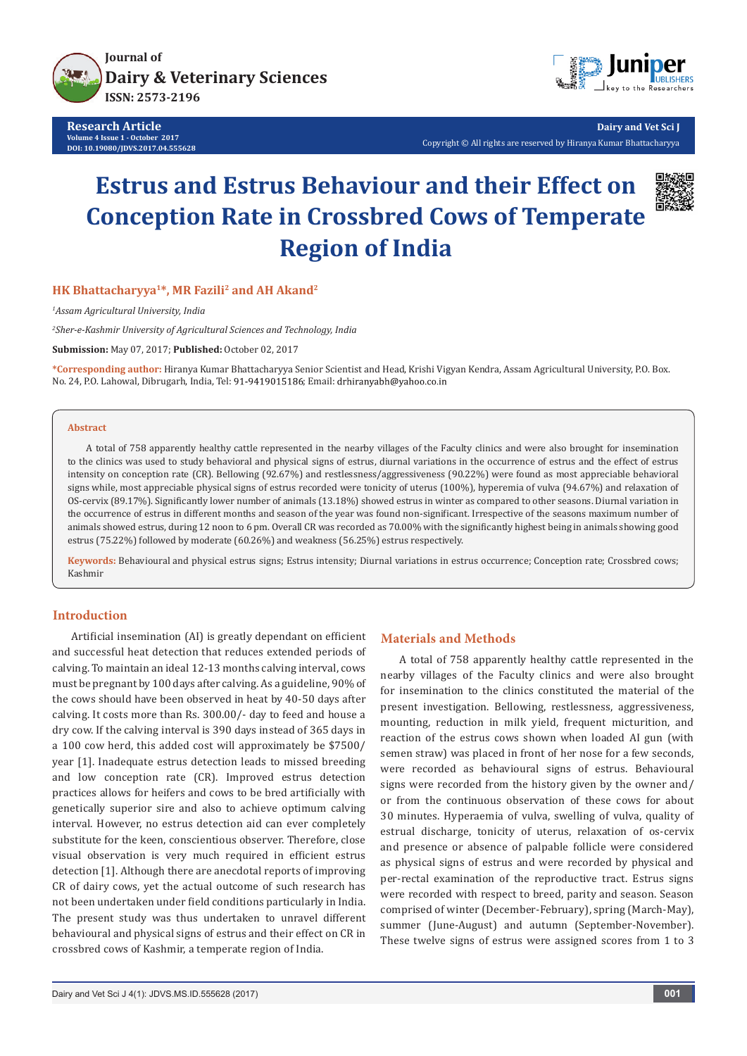

**Research Article Volume 4 Issue 1 - October 2017 DOI: [10.19080/JDVS.2017.04.555628](http://dx.doi.org/10.19080/JDVS.2017.04.555628)**



**Dairy and Vet Sci J** Copyright © All rights are reserved by Hiranya Kumar Bhattacharyya

# **Estrus and Estrus Behaviour and their Effect on Conception Rate in Crossbred Cows of Temperate Region of India**



### **HK Bhattacharyya1\*, MR Fazili2 and AH Akand2**

*1 Assam Agricultural University, India*

*2 Sher-e-Kashmir University of Agricultural Sciences and Technology, India*

**Submission:** May 07, 2017; **Published:** October 02, 2017

**\*Corresponding author:** Hiranya Kumar Bhattacharyya Senior Scientist and Head, Krishi Vigyan Kendra, Assam Agricultural University, P.O. Box. No. 24, P.O. Lahowal, Dibrugarh, India, Tel: 91-9419015186; Email: drhiranyabh@yahoo.co.in

#### **Abstract**

A total of 758 apparently healthy cattle represented in the nearby villages of the Faculty clinics and were also brought for insemination to the clinics was used to study behavioral and physical signs of estrus, diurnal variations in the occurrence of estrus and the effect of estrus intensity on conception rate (CR). Bellowing (92.67%) and restlessness/aggressiveness (90.22%) were found as most appreciable behavioral signs while, most appreciable physical signs of estrus recorded were tonicity of uterus (100%), hyperemia of vulva (94.67%) and relaxation of OS-cervix (89.17%). Significantly lower number of animals (13.18%) showed estrus in winter as compared to other seasons. Diurnal variation in the occurrence of estrus in different months and season of the year was found non-significant. Irrespective of the seasons maximum number of animals showed estrus, during 12 noon to 6 pm. Overall CR was recorded as 70.00% with the significantly highest being in animals showing good estrus (75.22%) followed by moderate (60.26%) and weakness (56.25%) estrus respectively.

**Keywords:** Behavioural and physical estrus signs; Estrus intensity; Diurnal variations in estrus occurrence; Conception rate; Crossbred cows; Kashmir

#### **Introduction**

Artificial insemination (AI) is greatly dependant on efficient and successful heat detection that reduces extended periods of calving. To maintain an ideal 12-13 months calving interval, cows must be pregnant by 100 days after calving. As a guideline, 90% of the cows should have been observed in heat by 40-50 days after calving. It costs more than Rs. 300.00/- day to feed and house a dry cow. If the calving interval is 390 days instead of 365 days in a 100 cow herd, this added cost will approximately be \$7500/ year [1]. Inadequate estrus detection leads to missed breeding and low conception rate (CR). Improved estrus detection practices allows for heifers and cows to be bred artificially with genetically superior sire and also to achieve optimum calving interval. However, no estrus detection aid can ever completely substitute for the keen, conscientious observer. Therefore, close visual observation is very much required in efficient estrus detection [1]. Although there are anecdotal reports of improving CR of dairy cows, yet the actual outcome of such research has not been undertaken under field conditions particularly in India. The present study was thus undertaken to unravel different behavioural and physical signs of estrus and their effect on CR in crossbred cows of Kashmir, a temperate region of India.

#### **Materials and Methods**

A total of 758 apparently healthy cattle represented in the nearby villages of the Faculty clinics and were also brought for insemination to the clinics constituted the material of the present investigation. Bellowing, restlessness, aggressiveness, mounting, reduction in milk yield, frequent micturition, and reaction of the estrus cows shown when loaded AI gun (with semen straw) was placed in front of her nose for a few seconds, were recorded as behavioural signs of estrus. Behavioural signs were recorded from the history given by the owner and/ or from the continuous observation of these cows for about 30 minutes. Hyperaemia of vulva, swelling of vulva, quality of estrual discharge, tonicity of uterus, relaxation of os-cervix and presence or absence of palpable follicle were considered as physical signs of estrus and were recorded by physical and per-rectal examination of the reproductive tract. Estrus signs were recorded with respect to breed, parity and season. Season comprised of winter (December-February), spring (March-May), summer (June-August) and autumn (September-November). These twelve signs of estrus were assigned scores from 1 to 3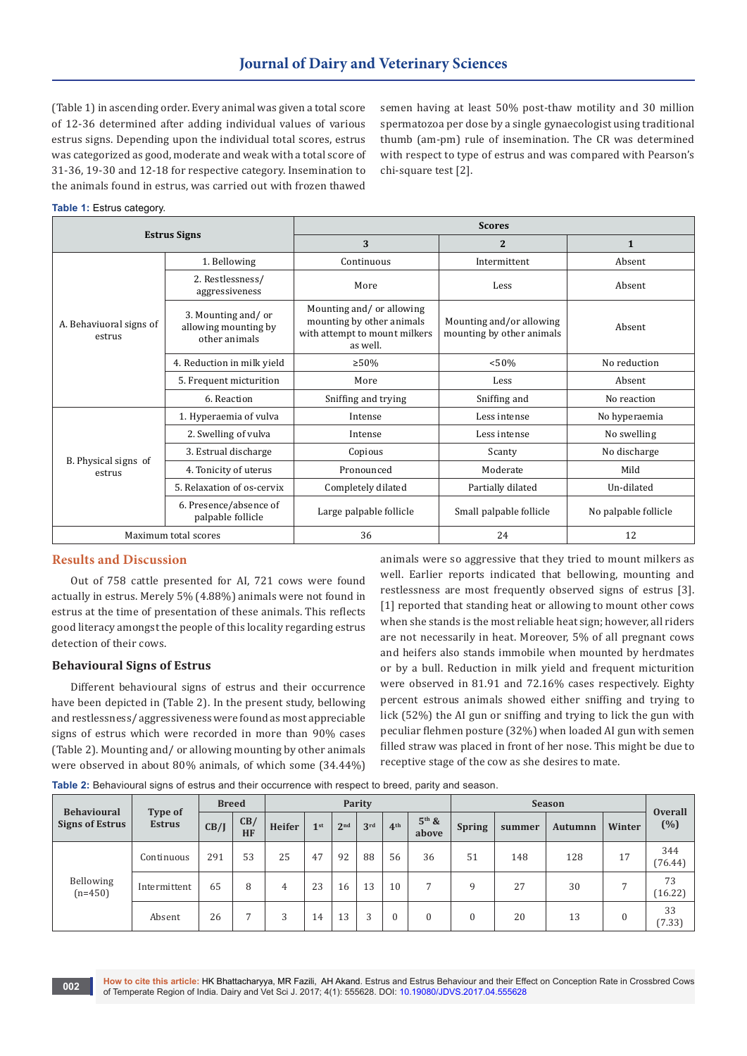(Table 1) in ascending order. Every animal was given a total score of 12-36 determined after adding individual values of various estrus signs. Depending upon the individual total scores, estrus was categorized as good, moderate and weak with a total score of 31-36, 19-30 and 12-18 for respective category. Insemination to the animals found in estrus, was carried out with frozen thawed

semen having at least 50% post-thaw motility and 30 million spermatozoa per dose by a single gynaecologist using traditional thumb (am-pm) rule of insemination. The CR was determined with respect to type of estrus and was compared with Pearson's chi-square test [2].

#### **Table 1:** Estrus category.

|                                   |                                                             | <b>Scores</b>                                                                                      |                                                       |                      |  |  |  |  |  |  |
|-----------------------------------|-------------------------------------------------------------|----------------------------------------------------------------------------------------------------|-------------------------------------------------------|----------------------|--|--|--|--|--|--|
|                                   | <b>Estrus Signs</b>                                         | 3                                                                                                  | $\overline{2}$                                        | $\mathbf{1}$         |  |  |  |  |  |  |
|                                   | 1. Bellowing                                                | Continuous                                                                                         | Intermittent                                          | Absent               |  |  |  |  |  |  |
|                                   | 2. Restlessness/<br>aggressiveness                          | More                                                                                               | Less                                                  | Absent               |  |  |  |  |  |  |
| A. Behaviuoral signs of<br>estrus | 3. Mounting and/or<br>allowing mounting by<br>other animals | Mounting and/or allowing<br>mounting by other animals<br>with attempt to mount milkers<br>as well. | Mounting and/or allowing<br>mounting by other animals | Absent               |  |  |  |  |  |  |
|                                   | 4. Reduction in milk yield                                  | $>50\%$                                                                                            | < 50%                                                 | No reduction         |  |  |  |  |  |  |
|                                   | 5. Frequent micturition                                     | More                                                                                               | Less                                                  | Absent               |  |  |  |  |  |  |
|                                   | 6. Reaction                                                 | Sniffing and trying                                                                                | Sniffing and                                          | No reaction          |  |  |  |  |  |  |
|                                   | 1. Hyperaemia of vulva                                      | Intense                                                                                            | Less intense                                          | No hyperaemia        |  |  |  |  |  |  |
|                                   | 2. Swelling of vulva                                        | Intense                                                                                            | Less intense                                          | No swelling          |  |  |  |  |  |  |
|                                   | 3. Estrual discharge                                        | Copious                                                                                            | Scanty                                                | No discharge         |  |  |  |  |  |  |
| B. Physical signs of<br>estrus    | 4. Tonicity of uterus                                       | Pronounced                                                                                         | Moderate                                              | Mild                 |  |  |  |  |  |  |
|                                   | 5. Relaxation of os-cervix                                  | Completely dilated                                                                                 | Partially dilated                                     | Un-dilated           |  |  |  |  |  |  |
|                                   | 6. Presence/absence of<br>palpable follicle                 | Large palpable follicle                                                                            | Small palpable follicle                               | No palpable follicle |  |  |  |  |  |  |
|                                   | Maximum total scores                                        | 36                                                                                                 | 24                                                    | 12                   |  |  |  |  |  |  |

#### **Results and Discussion**

Out of 758 cattle presented for AI, 721 cows were found actually in estrus. Merely 5% (4.88%) animals were not found in estrus at the time of presentation of these animals. This reflects good literacy amongst the people of this locality regarding estrus detection of their cows.

## **Behavioural Signs of Estrus**

Different behavioural signs of estrus and their occurrence have been depicted in (Table 2). In the present study, bellowing and restlessness/ aggressiveness were found as most appreciable signs of estrus which were recorded in more than 90% cases (Table 2). Mounting and/ or allowing mounting by other animals were observed in about 80% animals, of which some (34.44%)

animals were so aggressive that they tried to mount milkers as well. Earlier reports indicated that bellowing, mounting and restlessness are most frequently observed signs of estrus [3]. [1] reported that standing heat or allowing to mount other cows when she stands is the most reliable heat sign; however, all riders are not necessarily in heat. Moreover, 5% of all pregnant cows and heifers also stands immobile when mounted by herdmates or by a bull. Reduction in milk yield and frequent micturition were observed in 81.91 and 72.16% cases respectively. Eighty percent estrous animals showed either sniffing and trying to lick (52%) the AI gun or sniffing and trying to lick the gun with peculiar flehmen posture (32%) when loaded AI gun with semen filled straw was placed in front of her nose. This might be due to receptive stage of the cow as she desires to mate.

| Table 2: Behavioural signs of estrus and their occurrence with respect to breed, parity and season. |  |  |  |  |  |
|-----------------------------------------------------------------------------------------------------|--|--|--|--|--|
|-----------------------------------------------------------------------------------------------------|--|--|--|--|--|

| <b>Behavioural</b><br><b>Signs of Estrus</b> | Type of<br><b>Estrus</b> | <b>Breed</b> |                | Parity |                 |                 |                 |                 |                  | <b>Season</b> |        |         |              | <b>Overall</b> |
|----------------------------------------------|--------------------------|--------------|----------------|--------|-----------------|-----------------|-----------------|-----------------|------------------|---------------|--------|---------|--------------|----------------|
|                                              |                          | CB/J         | CB/<br>HF      | Heifer | 1 <sup>st</sup> | 2 <sup>nd</sup> | 3 <sup>rd</sup> | 4 <sup>th</sup> | $5th$ &<br>above | <b>Spring</b> | summer | Autumnn | Winter       | (%)            |
| Bellowing<br>$(n=450)$                       | Continuous               | 291          | 53             | 25     | 47              | 92              | 88              | 56              | 36               | 51            | 148    | 128     | 17           | 344<br>(76.44) |
|                                              | Intermittent             | 65           | 8              | 4      | 23              | 16              | 13              | 10              | $\overline{ }$   | q             | 27     | 30      |              | 73<br>16.22    |
|                                              | Absent                   | 26           | $\overline{ }$ | 3      | 14              | 13              | 3               | 0               | $\Omega$         |               | 20     | 13      | $\mathbf{0}$ | 33<br>(7.33)   |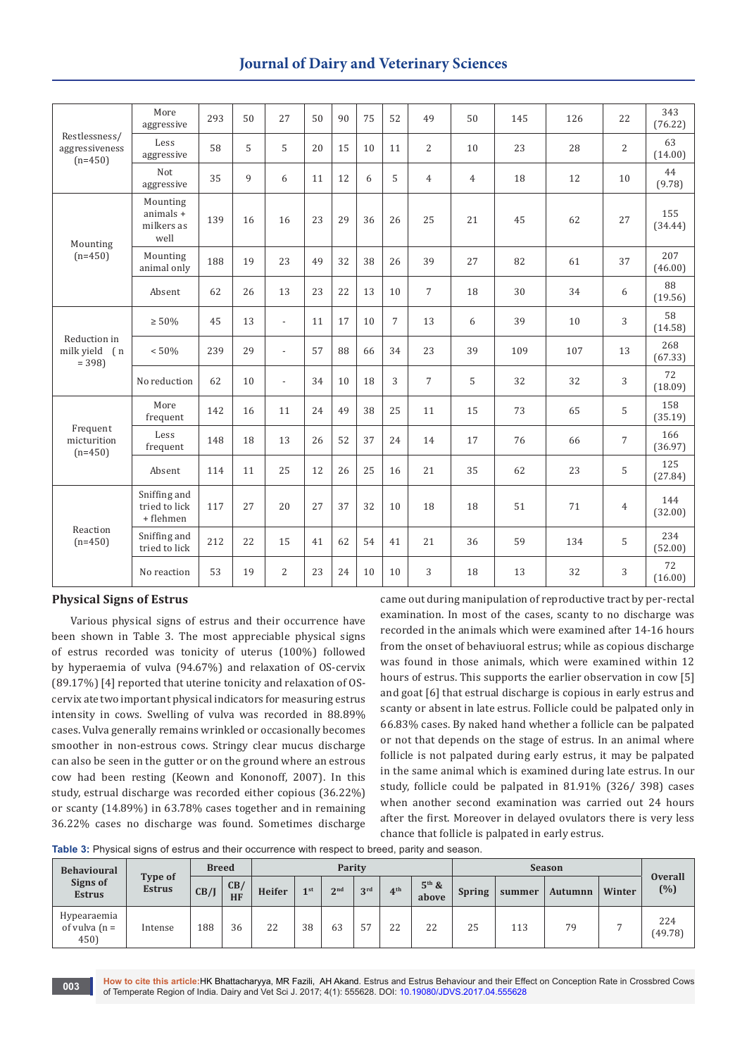# **Journal of Dairy and Veterinary Sciences**

| Restlessness/<br>aggressiveness<br>$(n=450)$ | More<br>aggressive                          | 293 | 50 | 27             | 50 | 90 | 75 | 52             | 49             | 50             | 145 | 126 | 22             | 343<br>(76.22) |
|----------------------------------------------|---------------------------------------------|-----|----|----------------|----|----|----|----------------|----------------|----------------|-----|-----|----------------|----------------|
|                                              | Less<br>aggressive                          | 58  | 5  | 5              | 20 | 15 | 10 | 11             | $\overline{2}$ | 10             | 23  | 28  | $\overline{2}$ | 63<br>(14.00)  |
|                                              | Not<br>aggressive                           | 35  | 9  | 6              | 11 | 12 | 6  | 5              | $\overline{4}$ | $\overline{4}$ | 18  | 12  | 10             | 44<br>(9.78)   |
| Mounting                                     | Mounting<br>animals +<br>milkers as<br>well | 139 | 16 | 16             | 23 | 29 | 36 | 26             | 25             | 21             | 45  | 62  | 27             | 155<br>(34.44) |
| $(n=450)$                                    | Mounting<br>animal only                     | 188 | 19 | 23             | 49 | 32 | 38 | 26             | 39             | 27             | 82  | 61  | 37             | 207<br>(46.00) |
|                                              | Absent                                      | 62  | 26 | 13             | 23 | 22 | 13 | 10             | $\overline{7}$ | 18             | 30  | 34  | 6              | 88<br>(19.56)  |
|                                              | $\geq 50\%$                                 | 45  | 13 | $\blacksquare$ | 11 | 17 | 10 | $\overline{7}$ | 13             | 6              | 39  | 10  | 3              | 58<br>(14.58)  |
| Reduction in<br>milk yield (n<br>$= 398$     | < 50%                                       | 239 | 29 | $\overline{a}$ | 57 | 88 | 66 | 34             | 23             | 39             | 109 | 107 | 13             | 268<br>(67.33) |
|                                              | No reduction                                | 62  | 10 | $\overline{a}$ | 34 | 10 | 18 | 3              | $\overline{7}$ | 5              | 32  | 32  | 3              | 72<br>(18.09)  |
|                                              | More<br>frequent                            | 142 | 16 | 11             | 24 | 49 | 38 | 25             | 11             | 15             | 73  | 65  | 5              | 158<br>(35.19) |
| Frequent<br>micturition<br>$(n=450)$         | Less<br>frequent                            | 148 | 18 | 13             | 26 | 52 | 37 | 24             | 14             | 17             | 76  | 66  | $\overline{7}$ | 166<br>(36.97) |
|                                              | Absent                                      | 114 | 11 | 25             | 12 | 26 | 25 | 16             | 21             | 35             | 62  | 23  | 5              | 125<br>(27.84) |
| Reaction<br>$(n=450)$                        | Sniffing and<br>tried to lick<br>+ flehmen  | 117 | 27 | 20             | 27 | 37 | 32 | 10             | 18             | 18             | 51  | 71  | $\overline{4}$ | 144<br>(32.00) |
|                                              | Sniffing and<br>tried to lick               | 212 | 22 | 15             | 41 | 62 | 54 | 41             | 21             | 36             | 59  | 134 | 5              | 234<br>(52.00) |
|                                              | No reaction                                 | 53  | 19 | $\overline{2}$ | 23 | 24 | 10 | 10             | 3              | 18             | 13  | 32  | 3              | 72<br>(16.00)  |

### **Physical Signs of Estrus**

Various physical signs of estrus and their occurrence have been shown in Table 3. The most appreciable physical signs of estrus recorded was tonicity of uterus (100%) followed by hyperaemia of vulva (94.67%) and relaxation of OS-cervix (89.17%) [4] reported that uterine tonicity and relaxation of OScervix ate two important physical indicators for measuring estrus intensity in cows. Swelling of vulva was recorded in 88.89% cases. Vulva generally remains wrinkled or occasionally becomes smoother in non-estrous cows. Stringy clear mucus discharge can also be seen in the gutter or on the ground where an estrous cow had been resting (Keown and Kononoff, 2007). In this study, estrual discharge was recorded either copious (36.22%) or scanty (14.89%) in 63.78% cases together and in remaining 36.22% cases no discharge was found. Sometimes discharge

came out during manipulation of reproductive tract by per-rectal examination. In most of the cases, scanty to no discharge was recorded in the animals which were examined after 14-16 hours from the onset of behaviuoral estrus; while as copious discharge was found in those animals, which were examined within 12 hours of estrus. This supports the earlier observation in cow [5] and goat [6] that estrual discharge is copious in early estrus and scanty or absent in late estrus. Follicle could be palpated only in 66.83% cases. By naked hand whether a follicle can be palpated or not that depends on the stage of estrus. In an animal where follicle is not palpated during early estrus, it may be palpated in the same animal which is examined during late estrus. In our study, follicle could be palpated in 81.91% (326/ 398) cases when another second examination was carried out 24 hours after the first. Moreover in delayed ovulators there is very less chance that follicle is palpated in early estrus.

**Table 3:** Physical signs of estrus and their occurrence with respect to breed, parity and season.

| <b>Behavioural</b><br>Signs of<br><b>Estrus</b> |                          |      | <b>Breed</b>     | Parity |        |     |                 |                 | <b>Season</b>    |               |        |         |        |                       |
|-------------------------------------------------|--------------------------|------|------------------|--------|--------|-----|-----------------|-----------------|------------------|---------------|--------|---------|--------|-----------------------|
|                                                 | Type of<br><b>Estrus</b> | CB/J | CB/<br><b>HF</b> | Heifer | $1$ st | 2nd | 3 <sup>rd</sup> | 4 <sup>th</sup> | $5th$ &<br>above | <b>Spring</b> | summer | Autumnn | Winter | <b>Overall</b><br>(%) |
| Hypearaemia<br>of vulva $(n =$<br>450)          | Intense                  | 188  | 36               | 22     | 38     | 63  | 57              | 22              | 22               | 25            | 113    | 79      |        | 224<br>(49.78)        |

**How to cite this article:**HK Bhattacharyya, MR Fazili, AH Akand. Estrus and Estrus Behaviour and their Effect on Conception Rate in Crossbred Cows of Temperate Region of India. Dairy and Vet Sci J. 2017; 4(1): 555628. DOI: [10.19080/JDVS.2017.04.555628](http://dx.doi.org/10.19080/JDVS.2017.04.555628) **<sup>003</sup>**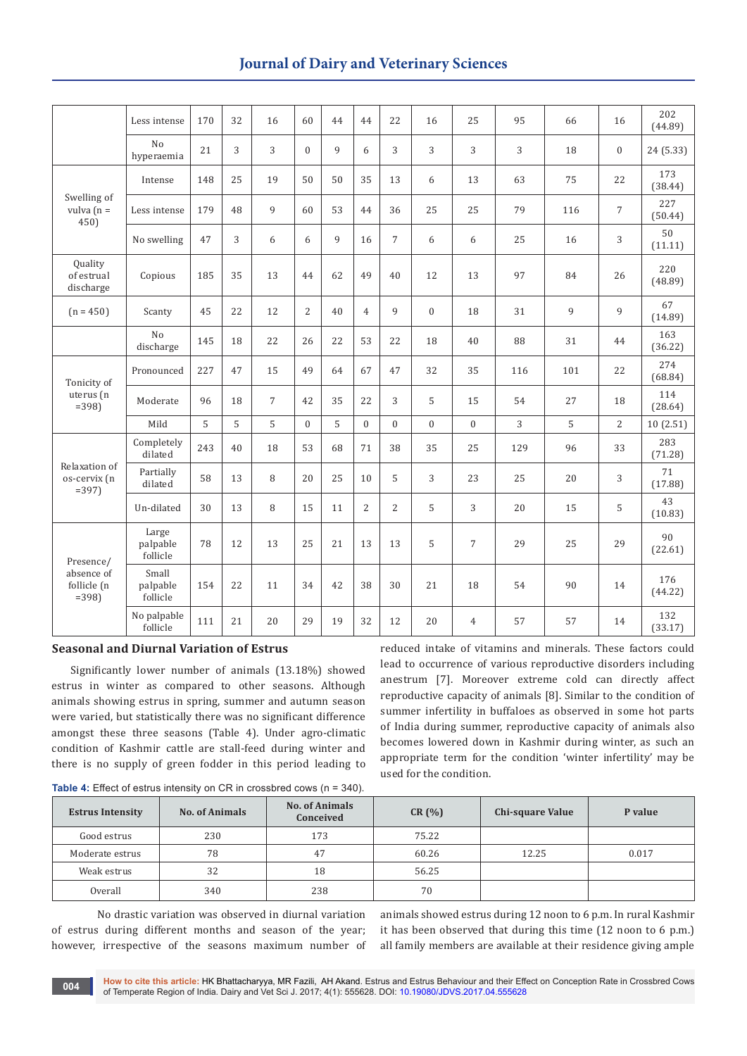## **Journal of Dairy and Veterinary Sciences**

|                                                   | Less intense                  | 170 | 32 | 16             | 60             | 44 | 44             | 22             | 16           | 25             | 95  | 66  | 16             | 202<br>(44.89) |
|---------------------------------------------------|-------------------------------|-----|----|----------------|----------------|----|----------------|----------------|--------------|----------------|-----|-----|----------------|----------------|
|                                                   | N <sub>o</sub><br>hyperaemia  | 21  | 3  | 3              | $\Omega$       | 9  | 6              | 3              | 3            | 3              | 3   | 18  | $\mathbf{0}$   | 24 (5.33)      |
|                                                   | Intense                       | 148 | 25 | 19             | 50             | 50 | 35             | 13             | 6            | 13             | 63  | 75  | 22             | 173<br>(38.44) |
| Swelling of<br>vulva $(n =$<br>450)               | Less intense                  | 179 | 48 | $\mathbf{Q}$   | 60             | 53 | 44             | 36             | 25           | 25             | 79  | 116 | 7              | 227<br>(50.44) |
|                                                   | No swelling                   | 47  | 3  | 6              | 6              | 9  | 16             | $\overline{7}$ | 6            | 6              | 25  | 16  | 3              | 50<br>(11.11)  |
| <b>Ouality</b><br>of estrual<br>discharge         | Copious                       | 185 | 35 | 13             | 44             | 62 | 49             | 40             | 12           | 13             | 97  | 84  | 26             | 220<br>(48.89) |
| $(n = 450)$                                       | Scanty                        | 45  | 22 | 12             | $\overline{2}$ | 40 | $\overline{4}$ | 9              | $\mathbf{0}$ | 18             | 31  | 9   | 9              | 67<br>(14.89)  |
|                                                   | N <sub>0</sub><br>discharge   | 145 | 18 | 22             | 26             | 22 | 53             | 22             | 18           | 40             | 88  | 31  | 44             | 163<br>(36.22) |
| Tonicity of                                       | Pronounced                    | 227 | 47 | 15             | 49             | 64 | 67             | 47             | 32           | 35             | 116 | 101 | 22             | 274<br>(68.84) |
| uterus (n<br>$= 398$                              | Moderate                      | 96  | 18 | $\overline{7}$ | 42             | 35 | 22             | 3              | 5            | 15             | 54  | 27  | 18             | 114<br>(28.64) |
|                                                   | Mild                          | 5   | 5  | 5              | $\Omega$       | 5  | $\theta$       | $\overline{0}$ | $\mathbf{0}$ | $\theta$       | 3   | 5   | $\overline{2}$ | 10(2.51)       |
|                                                   | Completely<br>dilated         | 243 | 40 | 18             | 53             | 68 | 71             | 38             | 35           | 25             | 129 | 96  | 33             | 283<br>(71.28) |
| Relaxation of<br>os-cervix (n<br>$= 397$          | Partially<br>dilated          | 58  | 13 | 8              | 20             | 25 | 10             | 5              | 3            | 23             | 25  | 20  | 3              | 71<br>(17.88)  |
|                                                   | Un-dilated                    | 30  | 13 | 8              | 15             | 11 | $\overline{2}$ | 2              | 5            | 3              | 20  | 15  | 5              | 43<br>(10.83)  |
| Presence/<br>absence of<br>follicle (n<br>$= 398$ | Large<br>palpable<br>follicle | 78  | 12 | 13             | 25             | 21 | 13             | 13             | 5            | $\overline{7}$ | 29  | 25  | 29             | 90<br>(22.61)  |
|                                                   | Small<br>palpable<br>follicle | 154 | 22 | 11             | 34             | 42 | 38             | 30             | 21           | 18             | 54  | 90  | 14             | 176<br>(44.22) |
|                                                   | No palpable<br>follicle       | 111 | 21 | 20             | 29             | 19 | 32             | 12             | 20           | $\overline{4}$ | 57  | 57  | 14             | 132<br>(33.17) |

#### **Seasonal and Diurnal Variation of Estrus**

Significantly lower number of animals (13.18%) showed estrus in winter as compared to other seasons. Although animals showing estrus in spring, summer and autumn season were varied, but statistically there was no significant difference amongst these three seasons (Table 4). Under agro-climatic condition of Kashmir cattle are stall-feed during winter and there is no supply of green fodder in this period leading to

reduced intake of vitamins and minerals. These factors could lead to occurrence of various reproductive disorders including anestrum [7]. Moreover extreme cold can directly affect reproductive capacity of animals [8]. Similar to the condition of summer infertility in buffaloes as observed in some hot parts of India during summer, reproductive capacity of animals also becomes lowered down in Kashmir during winter, as such an appropriate term for the condition 'winter infertility' may be used for the condition.

| <b>Table 4:</b> Effect of estrus intensity on CR in crossbred cows ( $n = 340$ ). |  |  |
|-----------------------------------------------------------------------------------|--|--|
|-----------------------------------------------------------------------------------|--|--|

| <b>Estrus Intensity</b> | <b>No. of Animals</b> | <b>No. of Animals</b><br>Conceived | CR(%) | <b>Chi-square Value</b> | P value |
|-------------------------|-----------------------|------------------------------------|-------|-------------------------|---------|
| Good estrus             | 230                   | 173                                | 75.22 |                         |         |
| Moderate estrus         | 78                    | 47                                 | 60.26 | 12.25                   | 0.017   |
| Weak estrus             | 32                    | 18                                 | 56.25 |                         |         |
| Overall                 | 340                   | 238                                | 70    |                         |         |

No drastic variation was observed in diurnal variation of estrus during different months and season of the year; however, irrespective of the seasons maximum number of

animals showed estrus during 12 noon to 6 p.m. In rural Kashmir it has been observed that during this time (12 noon to 6 p.m.) all family members are available at their residence giving ample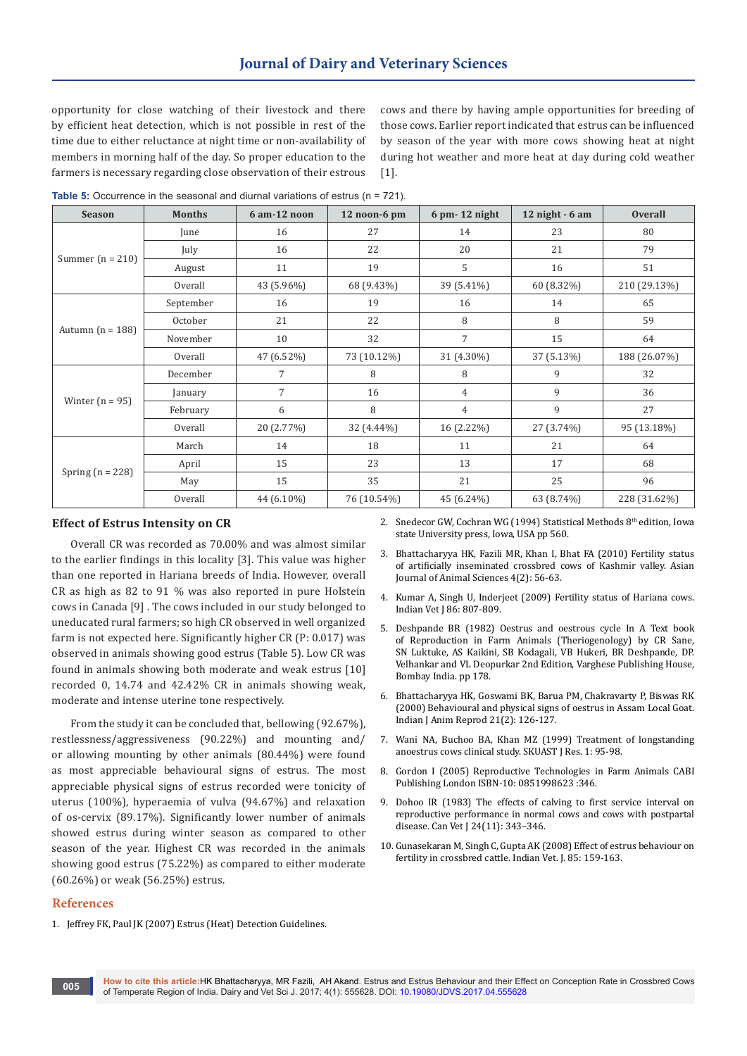opportunity for close watching of their livestock and there by efficient heat detection, which is not possible in rest of the time due to either reluctance at night time or non-availability of members in morning half of the day. So proper education to the farmers is necessary regarding close observation of their estrous

cows and there by having ample opportunities for breeding of those cows. Earlier report indicated that estrus can be influenced by season of the year with more cows showing heat at night during hot weather and more heat at day during cold weather [1].

**Table 5:** Occurrence in the seasonal and diurnal variations of estrus (n = 721).

| <b>Season</b>      | <b>Months</b> | 6 am-12 noon   | 12 noon-6 pm | $6$ pm- 12 night | 12 night $-6$ am | <b>Overall</b> |
|--------------------|---------------|----------------|--------------|------------------|------------------|----------------|
|                    | June          | 16             | 27           | 14               | 23               | 80             |
|                    | July          | 16             | 22           | 20               | 21               | 79             |
| Summer $(n = 210)$ | August        | 11             | 19           | 5                | 16               | 51             |
|                    | Overall       | 43 (5.96%)     | 68 (9.43%)   | 39 (5.41%)       | 60 (8.32%)       | 210 (29.13%)   |
|                    | September     | 16             | 19           | 16               | 14               | 65             |
|                    | October       | 21             | 22           | 8                | 8                | 59             |
| Autumn $(n = 188)$ | November      | 10             | 32           | 7                | 15               | 64             |
|                    | Overall       | 47 (6.52%)     | 73 (10.12%)  | 31 (4.30%)       | 37 (5.13%)       | 188 (26.07%)   |
|                    | December      | 7              | 8            | 8                | 9                | 32             |
|                    | January       | $\overline{7}$ | 16           | $\overline{4}$   | 9                | 36             |
| Winter $(n = 95)$  | February      | 6              | 8            | $\overline{4}$   | 9                | 27             |
|                    | Overall       | 20 (2.77%)     | 32 (4.44%)   | 16 (2.22%)       | 27 (3.74%)       | 95 (13.18%)    |
|                    | March         | 14             | 18           | 11               | 21               | 64             |
|                    | April         | 15             | 23           | 13               | 17               | 68             |
| Spring $(n = 228)$ | May           | 15             | 35           | 21               | 25               | 96             |
|                    | Overall       | 44 (6.10%)     | 76 (10.54%)  | 45 (6.24%)       | 63 (8.74%)       | 228 (31.62%)   |

#### **Effect of Estrus Intensity on CR**

Overall CR was recorded as 70.00% and was almost similar to the earlier findings in this locality [3]. This value was higher than one reported in Hariana breeds of India. However, overall CR as high as 82 to 91 % was also reported in pure Holstein cows in Canada [9] . The cows included in our study belonged to uneducated rural farmers; so high CR observed in well organized farm is not expected here. Significantly higher CR (P: 0.017) was observed in animals showing good estrus (Table 5). Low CR was found in animals showing both moderate and weak estrus [10] recorded 0, 14.74 and 42.42% CR in animals showing weak, moderate and intense uterine tone respectively.

From the study it can be concluded that, bellowing (92.67%), restlessness/aggressiveness (90.22%) and mounting and/ or allowing mounting by other animals (80.44%) were found as most appreciable behavioural signs of estrus. The most appreciable physical signs of estrus recorded were tonicity of uterus (100%), hyperaemia of vulva (94.67%) and relaxation of os-cervix (89.17%). Significantly lower number of animals showed estrus during winter season as compared to other season of the year. Highest CR was recorded in the animals showing good estrus (75.22%) as compared to either moderate (60.26%) or weak (56.25%) estrus.

- **References**
- 1. [Jeffrey FK, Paul JK \(2007\) Estrus \(Heat\) Detection Guidelines.](http://extensionpublications.unl.edu/assets/pdf/g952.pdf)
- 2. Snedecor GW, Cochran WG (1994) Statistical Methods  $8<sup>th</sup>$  edition, Iowa [state University press, Iowa, USA pp 560](https://www.abebooks.com/STATISTICAL-METHODS-8TH-EDITION-GEORGE-SNEDECOR/20391855817/bd).
- 3. [Bhattacharyya HK, Fazili MR, Khan I, Bhat FA \(2010\) Fertility status](http://scialert.net/abstract/?doi=ajas.2010.56.63)  [of artificially inseminated crossbred cows of Kashmir valley. Asian](http://scialert.net/abstract/?doi=ajas.2010.56.63)  [Journal of Animal Sciences 4\(2\): 56-63.](http://scialert.net/abstract/?doi=ajas.2010.56.63)
- 4. Kumar A, Singh U, Inderjeet (2009) Fertility status of Hariana cows. Indian Vet J 86: 807-809.
- 5. Deshpande BR (1982) Oestrus and oestrous cycle In A Text book of Reproduction in Farm Animals (Theriogenology) by CR Sane, SN Luktuke, AS Kaikini, SB Kodagali, VB Hukeri, BR Deshpande, DP. Velhankar and VL Deopurkar 2nd Edition, Varghese Publishing House, Bombay India. pp 178.
- 6. [Bhattacharyya HK, Goswami BK, Barua PM, Chakravarty P, Biswas RK](https://www.cabdirect.org/cabdirect/abstract/20013019975)  [\(2000\) Behavioural and physical signs of oestrus in Assam Local Goat.](https://www.cabdirect.org/cabdirect/abstract/20013019975)  [Indian J Anim Reprod 21\(2\): 126-127.](https://www.cabdirect.org/cabdirect/abstract/20013019975)
- 7. [Wani NA, Buchoo BA, Khan MZ \(1999\) Treatment of longstanding](http://reprobiotech.ae/publication/wani-na-buchoo-ba-and-khan-mz-1999-treatment-of-long-standing-anoestrous-cows-a-clinical-study-skuast-journal-of-research-1-95-98/)  [anoestrus cows clinical study. SKUAST J Res. 1: 95-98](http://reprobiotech.ae/publication/wani-na-buchoo-ba-and-khan-mz-1999-treatment-of-long-standing-anoestrous-cows-a-clinical-study-skuast-journal-of-research-1-95-98/).
- 8. [Gordon I \(2005\) Reproductive Technologies in Farm Animals CABI](http://www.cabi.org/cabebooks/ebook/20043190616)  [Publishing London ISBN-10: 0851998623 :346](http://www.cabi.org/cabebooks/ebook/20043190616).
- 9. [Dohoo IR \(1983\) The effects of calving to first service interval on](https://www.ncbi.nlm.nih.gov/pmc/articles/PMC1790458/)  [reproductive performance in normal cows and cows with postpartal](https://www.ncbi.nlm.nih.gov/pmc/articles/PMC1790458/)  [disease. Can Vet J 24\(11\): 343–346](https://www.ncbi.nlm.nih.gov/pmc/articles/PMC1790458/).
- 10. Gunasekaran M, Singh C, Gupta AK (2008) Effect of estrus behaviour on fertility in crossbred cattle. Indian Vet. J. 85: 159-163.